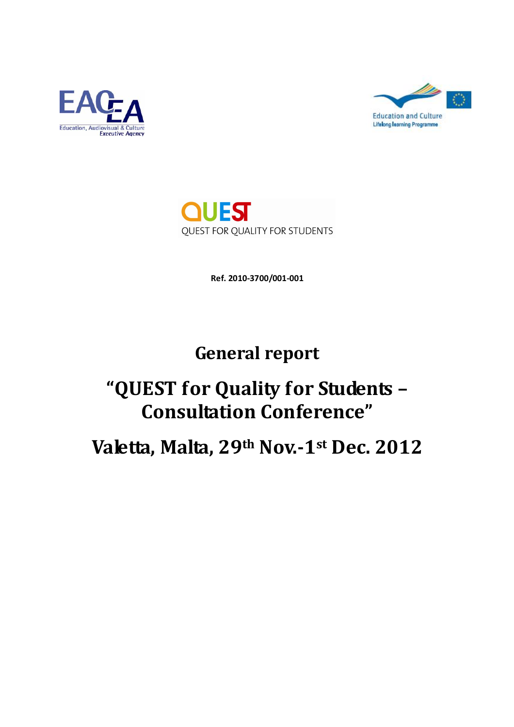





**Ref. 2010-3700/001-001**

## **General report**

# **"QUEST for Quality for Students – Consultation Conference"**

**Valetta, Malta, 29th Nov.-1st Dec. 2012**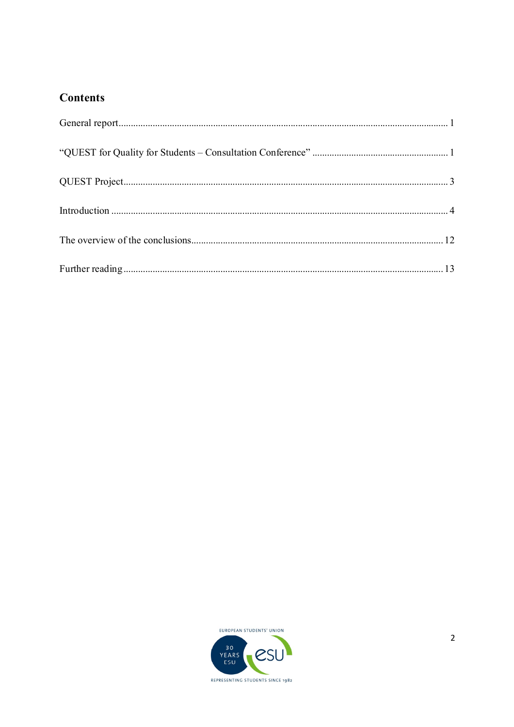## **Contents**

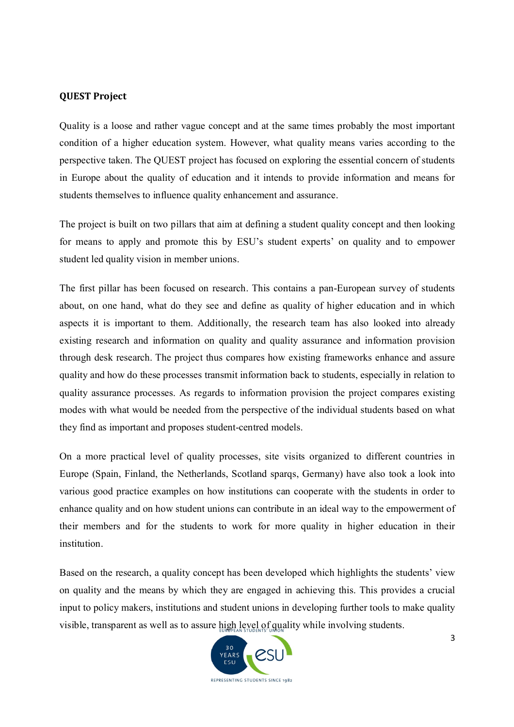#### **QUEST Project**

Quality is a loose and rather vague concept and at the same times probably the most important condition of a higher education system. However, what quality means varies according to the perspective taken. The QUEST project has focused on exploring the essential concern of students in Europe about the quality of education and it intends to provide information and means for students themselves to influence quality enhancement and assurance.

The project is built on two pillars that aim at defining a student quality concept and then looking for means to apply and promote this by ESU's student experts' on quality and to empower student led quality vision in member unions.

The first pillar has been focused on research. This contains a pan-European survey of students about, on one hand, what do they see and define as quality of higher education and in which aspects it is important to them. Additionally, the research team has also looked into already existing research and information on quality and quality assurance and information provision through desk research. The project thus compares how existing frameworks enhance and assure quality and how do these processes transmit information back to students, especially in relation to quality assurance processes. As regards to information provision the project compares existing modes with what would be needed from the perspective of the individual students based on what they find as important and proposes student-centred models.

On a more practical level of quality processes, site visits organized to different countries in Europe (Spain, Finland, the Netherlands, Scotland sparqs, Germany) have also took a look into various good practice examples on how institutions can cooperate with the students in order to enhance quality and on how student unions can contribute in an ideal way to the empowerment of their members and for the students to work for more quality in higher education in their institution.

Based on the research, a quality concept has been developed which highlights the students' view on quality and the means by which they are engaged in achieving this. This provides a crucial input to policy makers, institutions and student unions in developing further tools to make quality visible, transparent as well as to assure high level of quality while involving students.

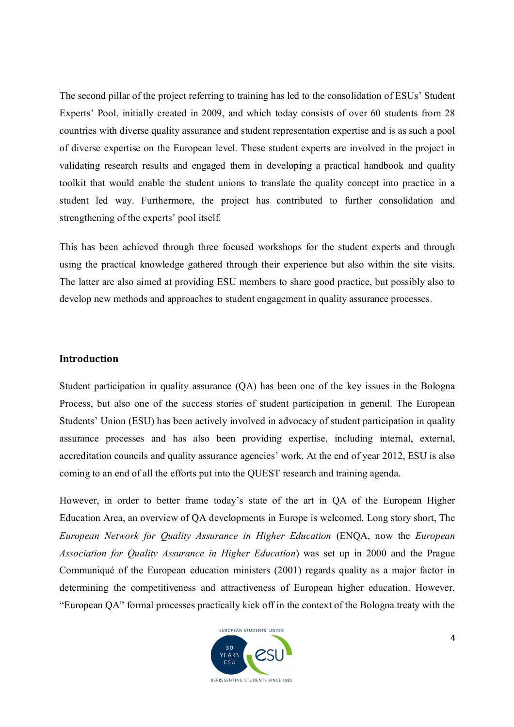The second pillar of the project referring to training has led to the consolidation of ESUs' Student Experts' Pool, initially created in 2009, and which today consists of over 60 students from 28 countries with diverse quality assurance and student representation expertise and is as such a pool of diverse expertise on the European level. These student experts are involved in the project in validating research results and engaged them in developing a practical handbook and quality toolkit that would enable the student unions to translate the quality concept into practice in a student led way. Furthermore, the project has contributed to further consolidation and strengthening of the experts' pool itself.

This has been achieved through three focused workshops for the student experts and through using the practical knowledge gathered through their experience but also within the site visits. The latter are also aimed at providing ESU members to share good practice, but possibly also to develop new methods and approaches to student engagement in quality assurance processes.

#### **Introduction**

Student participation in quality assurance (QA) has been one of the key issues in the Bologna Process, but also one of the success stories of student participation in general. The European Students' Union (ESU) has been actively involved in advocacy of student participation in quality assurance processes and has also been providing expertise, including internal, external, accreditation councils and quality assurance agencies' work. At the end of year 2012, ESU is also coming to an end of all the efforts put into the QUEST research and training agenda.

However, in order to better frame today's state of the art in QA of the European Higher Education Area, an overview of QA developments in Europe is welcomed. Long story short, The *European Network for Quality Assurance in Higher Education* (ENQA, now the *European Association for Quality Assurance in Higher Education*) was set up in 2000 and the Prague Communiqué of the European education ministers (2001) regards quality as a major factor in determining the competitiveness and attractiveness of European higher education. However, "European QA" formal processes practically kick off in the context of the Bologna treaty with the

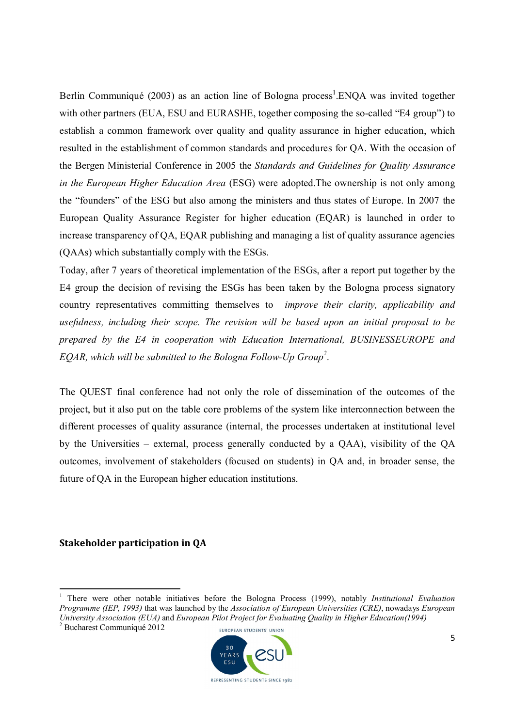Berlin Communiqué (2003) as an action line of Bologna process<sup>1</sup>. ENQA was invited together with other partners (EUA, ESU and EURASHE, together composing the so-called "E4 group") to establish a common framework over quality and quality assurance in higher education, which resulted in the establishment of common standards and procedures for QA. With the occasion of the Bergen Ministerial Conference in 2005 the *Standards and Guidelines for Quality Assurance in the European Higher Education Area* (ESG) were adopted.The ownership is not only among the "founders" of the ESG but also among the ministers and thus states of Europe. In 2007 the European Quality Assurance Register for higher education (EQAR) is launched in order to increase transparency of QA, EQAR publishing and managing a list of quality assurance agencies (QAAs) which substantially comply with the ESGs.

Today, after 7 years of theoretical implementation of the ESGs, after a report put together by the E4 group the decision of revising the ESGs has been taken by the Bologna process signatory country representatives committing themselves to *improve their clarity, applicability and usefulness, including their scope. The revision will be based upon an initial proposal to be prepared by the E4 in cooperation with Education International, BUSINESSEUROPE and EQAR, which will be submitted to the Bologna Follow-Up Group<sup>2</sup>* .

The QUEST final conference had not only the role of dissemination of the outcomes of the project, but it also put on the table core problems of the system like interconnection between the different processes of quality assurance (internal, the processes undertaken at institutional level by the Universities – external, process generally conducted by a QAA), visibility of the QA outcomes, involvement of stakeholders (focused on students) in QA and, in broader sense, the future of QA in the European higher education institutions.

#### **Stakeholder participation in QA**

-



<sup>&</sup>lt;sup>1</sup> There were other notable initiatives before the Bologna Process (1999), notably *Institutional Evaluation Programme (IEP, 1993)* that was launched by the *Association of European Universities (CRE)*, nowadays *European University Association (EUA)* and *European Pilot Project for Evaluating Quality in Higher Education(1994)*

<sup>2</sup> Bucharest Communiqué 2012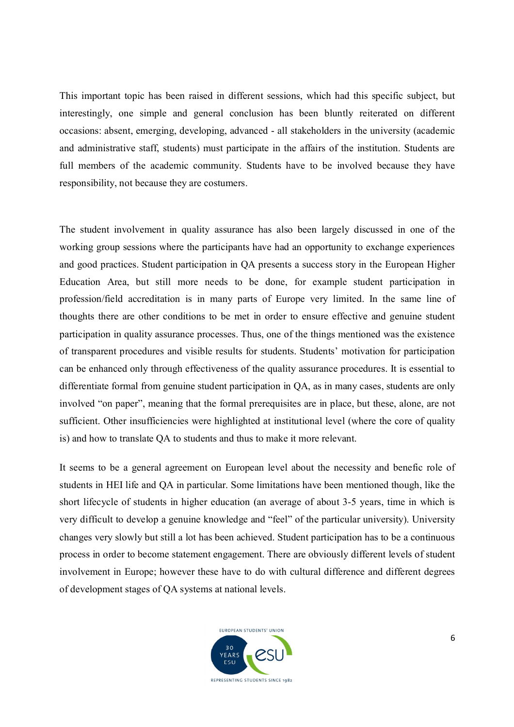This important topic has been raised in different sessions, which had this specific subject, but interestingly, one simple and general conclusion has been bluntly reiterated on different occasions: absent, emerging, developing, advanced - all stakeholders in the university (academic and administrative staff, students) must participate in the affairs of the institution. Students are full members of the academic community. Students have to be involved because they have responsibility, not because they are costumers.

The student involvement in quality assurance has also been largely discussed in one of the working group sessions where the participants have had an opportunity to exchange experiences and good practices. Student participation in QA presents a success story in the European Higher Education Area, but still more needs to be done, for example student participation in profession/field accreditation is in many parts of Europe very limited. In the same line of thoughts there are other conditions to be met in order to ensure effective and genuine student participation in quality assurance processes. Thus, one of the things mentioned was the existence of transparent procedures and visible results for students. Students' motivation for participation can be enhanced only through effectiveness of the quality assurance procedures. It is essential to differentiate formal from genuine student participation in QA, as in many cases, students are only involved "on paper", meaning that the formal prerequisites are in place, but these, alone, are not sufficient. Other insufficiencies were highlighted at institutional level (where the core of quality is) and how to translate QA to students and thus to make it more relevant.

It seems to be a general agreement on European level about the necessity and benefic role of students in HEI life and QA in particular. Some limitations have been mentioned though, like the short lifecycle of students in higher education (an average of about 3-5 years, time in which is very difficult to develop a genuine knowledge and "feel" of the particular university). University changes very slowly but still a lot has been achieved. Student participation has to be a continuous process in order to become statement engagement. There are obviously different levels of student involvement in Europe; however these have to do with cultural difference and different degrees of development stages of QA systems at national levels.

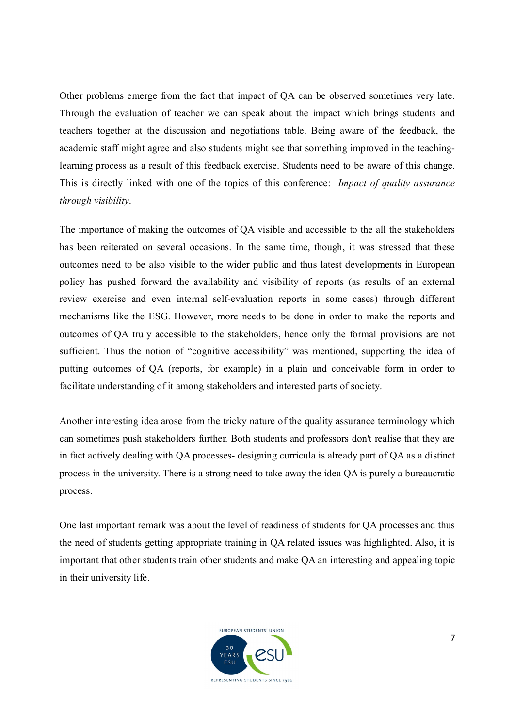Other problems emerge from the fact that impact of QA can be observed sometimes very late. Through the evaluation of teacher we can speak about the impact which brings students and teachers together at the discussion and negotiations table. Being aware of the feedback, the academic staff might agree and also students might see that something improved in the teachinglearning process as a result of this feedback exercise. Students need to be aware of this change. This is directly linked with one of the topics of this conference: *Impact of quality assurance through visibility*.

The importance of making the outcomes of QA visible and accessible to the all the stakeholders has been reiterated on several occasions. In the same time, though, it was stressed that these outcomes need to be also visible to the wider public and thus latest developments in European policy has pushed forward the availability and visibility of reports (as results of an external review exercise and even internal self-evaluation reports in some cases) through different mechanisms like the ESG. However, more needs to be done in order to make the reports and outcomes of QA truly accessible to the stakeholders, hence only the formal provisions are not sufficient. Thus the notion of "cognitive accessibility" was mentioned, supporting the idea of putting outcomes of QA (reports, for example) in a plain and conceivable form in order to facilitate understanding of it among stakeholders and interested parts of society.

Another interesting idea arose from the tricky nature of the quality assurance terminology which can sometimes push stakeholders further. Both students and professors don't realise that they are in fact actively dealing with QA processes- designing curricula is already part of QA as a distinct process in the university. There is a strong need to take away the idea QA is purely a bureaucratic process.

One last important remark was about the level of readiness of students for QA processes and thus the need of students getting appropriate training in QA related issues was highlighted. Also, it is important that other students train other students and make QA an interesting and appealing topic in their university life.

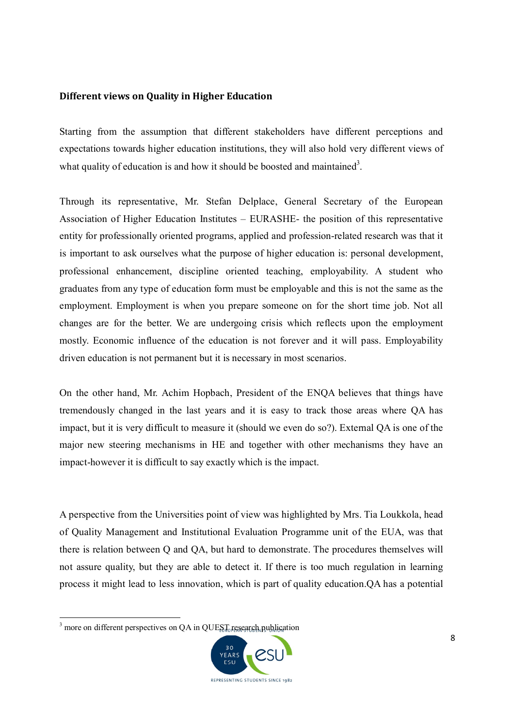#### **Different views on Quality in Higher Education**

Starting from the assumption that different stakeholders have different perceptions and expectations towards higher education institutions, they will also hold very different views of what quality of education is and how it should be boosted and maintained<sup>3</sup>.

Through its representative, Mr. Stefan Delplace, General Secretary of the European Association of Higher Education Institutes – EURASHE- the position of this representative entity for professionally oriented programs, applied and profession-related research was that it is important to ask ourselves what the purpose of higher education is: personal development, professional enhancement, discipline oriented teaching, employability. A student who graduates from any type of education form must be employable and this is not the same as the employment. Employment is when you prepare someone on for the short time job. Not all changes are for the better. We are undergoing crisis which reflects upon the employment mostly. Economic influence of the education is not forever and it will pass. Employability driven education is not permanent but it is necessary in most scenarios.

On the other hand, Mr. Achim Hopbach, President of the ENQA believes that things have tremendously changed in the last years and it is easy to track those areas where QA has impact, but it is very difficult to measure it (should we even do so?). External QA is one of the major new steering mechanisms in HE and together with other mechanisms they have an impact-however it is difficult to say exactly which is the impact.

A perspective from the Universities point of view was highlighted by Mrs. Tia Loukkola, head of Quality Management and Institutional Evaluation Programme unit of the EUA, was that there is relation between Q and QA, but hard to demonstrate. The procedures themselves will not assure quality, but they are able to detect it. If there is too much regulation in learning process it might lead to less innovation, which is part of quality education.QA has a potential

-



 $3$  more on different perspectives on QA in QUEST research publication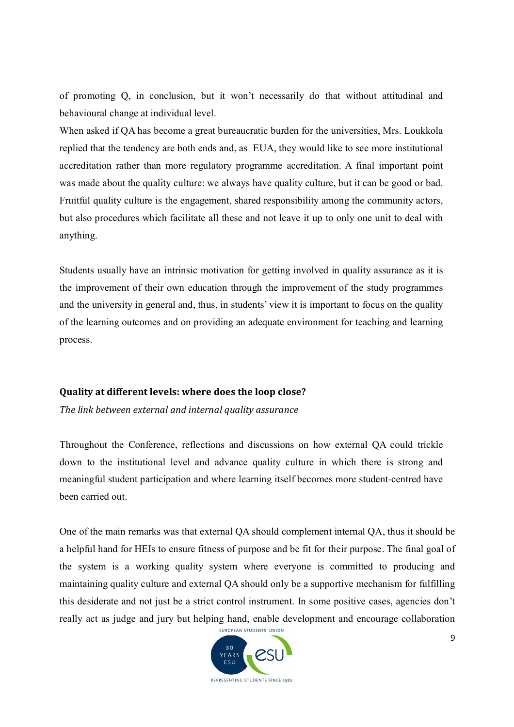of promoting Q, in conclusion, but it won't necessarily do that without attitudinal and behavioural change at individual level.

When asked if QA has become a great bureaucratic burden for the universities, Mrs. Loukkola replied that the tendency are both ends and, as EUA, they would like to see more institutional accreditation rather than more regulatory programme accreditation. A final important point was made about the quality culture: we always have quality culture, but it can be good or bad. Fruitful quality culture is the engagement, shared responsibility among the community actors, but also procedures which facilitate all these and not leave it up to only one unit to deal with anything.

Students usually have an intrinsic motivation for getting involved in quality assurance as it is the improvement of their own education through the improvement of the study programmes and the university in general and, thus, in students' view it is important to focus on the quality of the learning outcomes and on providing an adequate environment for teaching and learning process.

#### **Quality at different levels: where does the loop close?**

*The link between external and internal quality assurance*

Throughout the Conference, reflections and discussions on how external QA could trickle down to the institutional level and advance quality culture in which there is strong and meaningful student participation and where learning itself becomes more student-centred have been carried out.

One of the main remarks was that external QA should complement internal QA, thus it should be a helpful hand for HEIs to ensure fitness of purpose and be fit for their purpose. The final goal of the system is a working quality system where everyone is committed to producing and maintaining quality culture and external QA should only be a supportive mechanism for fulfilling this desiderate and not just be a strict control instrument. In some positive cases, agencies don't really act as judge and jury but helping hand, enable development and encourage collaboration

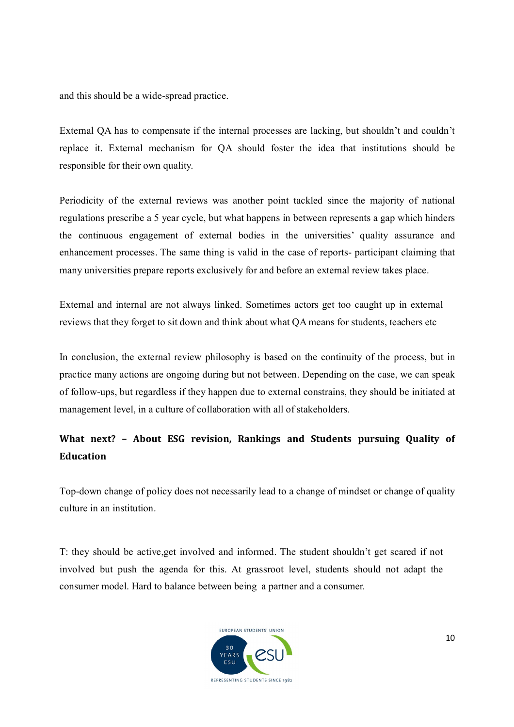and this should be a wide-spread practice.

External QA has to compensate if the internal processes are lacking, but shouldn't and couldn't replace it. External mechanism for QA should foster the idea that institutions should be responsible for their own quality.

Periodicity of the external reviews was another point tackled since the majority of national regulations prescribe a 5 year cycle, but what happens in between represents a gap which hinders the continuous engagement of external bodies in the universities' quality assurance and enhancement processes. The same thing is valid in the case of reports- participant claiming that many universities prepare reports exclusively for and before an external review takes place.

External and internal are not always linked. Sometimes actors get too caught up in external reviews that they forget to sit down and think about what QA means for students, teachers etc

In conclusion, the external review philosophy is based on the continuity of the process, but in practice many actions are ongoing during but not between. Depending on the case, we can speak of follow-ups, but regardless if they happen due to external constrains, they should be initiated at management level, in a culture of collaboration with all of stakeholders.

## **What next? – About ESG revision, Rankings and Students pursuing Quality of Education**

Top-down change of policy does not necessarily lead to a change of mindset or change of quality culture in an institution.

T: they should be active,get involved and informed. The student shouldn't get scared if not involved but push the agenda for this. At grassroot level, students should not adapt the consumer model. Hard to balance between being a partner and a consumer.

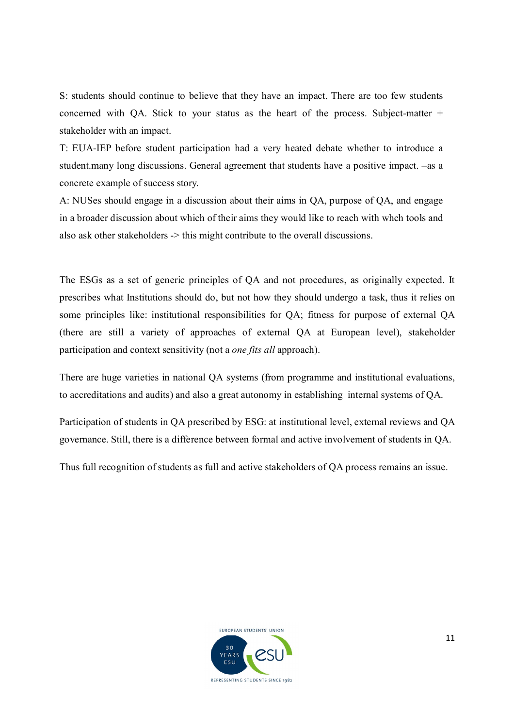S: students should continue to believe that they have an impact. There are too few students concerned with QA. Stick to your status as the heart of the process. Subject-matter + stakeholder with an impact.

T: EUA-IEP before student participation had a very heated debate whether to introduce a student.many long discussions. General agreement that students have a positive impact. –as a concrete example of success story.

A: NUSes should engage in a discussion about their aims in QA, purpose of QA, and engage in a broader discussion about which of their aims they would like to reach with whch tools and also ask other stakeholders -> this might contribute to the overall discussions.

The ESGs as a set of generic principles of QA and not procedures, as originally expected. It prescribes what Institutions should do, but not how they should undergo a task, thus it relies on some principles like: institutional responsibilities for QA; fitness for purpose of external QA (there are still a variety of approaches of external QA at European level), stakeholder participation and context sensitivity (not a *one fits all* approach).

There are huge varieties in national QA systems (from programme and institutional evaluations, to accreditations and audits) and also a great autonomy in establishing internal systems of QA.

Participation of students in QA prescribed by ESG: at institutional level, external reviews and QA governance. Still, there is a difference between formal and active involvement of students in QA.

Thus full recognition of students as full and active stakeholders of QA process remains an issue.

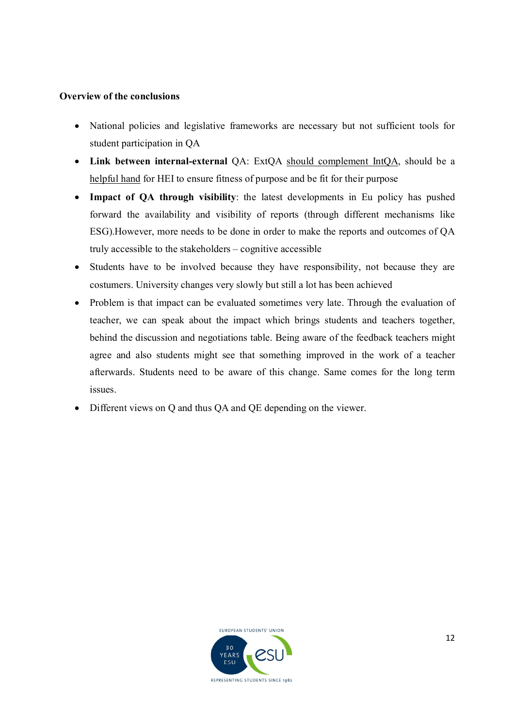#### **Overview of the conclusions**

- National policies and legislative frameworks are necessary but not sufficient tools for student participation in QA
- **Link between internal-external** QA: ExtQA should complement IntQA, should be a helpful hand for HEI to ensure fitness of purpose and be fit for their purpose
- **Impact of QA through visibility**: the latest developments in Eu policy has pushed forward the availability and visibility of reports (through different mechanisms like ESG).However, more needs to be done in order to make the reports and outcomes of QA truly accessible to the stakeholders – cognitive accessible
- Students have to be involved because they have responsibility, not because they are costumers. University changes very slowly but still a lot has been achieved
- Problem is that impact can be evaluated sometimes very late. Through the evaluation of teacher, we can speak about the impact which brings students and teachers together, behind the discussion and negotiations table. Being aware of the feedback teachers might agree and also students might see that something improved in the work of a teacher afterwards. Students need to be aware of this change. Same comes for the long term issues.
- Different views on Q and thus QA and QE depending on the viewer.

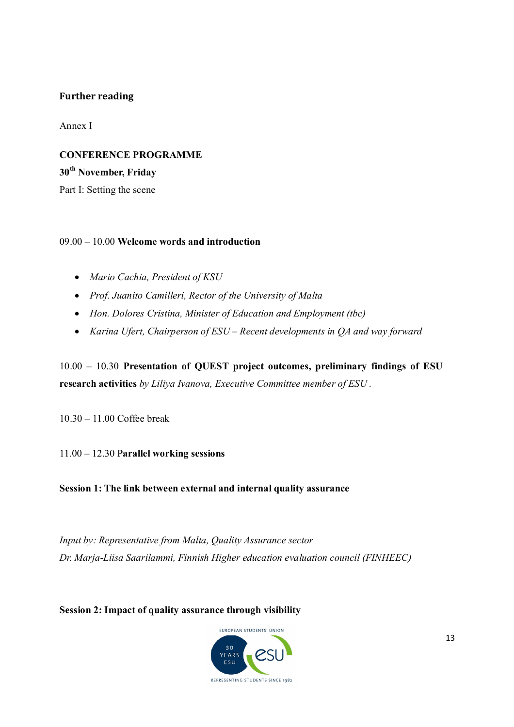#### **Further reading**

Annex I

### **CONFERENCE PROGRAMME**

**30th November, Friday** 

Part I: Setting the scene

#### 09.00 – 10.00 **Welcome words and introduction**

- *Mario Cachia, President of KSU*
- *Prof. Juanito Camilleri, Rector of the University of Malta*
- *Hon. Dolores Cristina, Minister of Education and Employment (tbc)*
- *Karina Ufert, Chairperson of ESU – Recent developments in QA and way forward*

10.00 – 10.30 **Presentation of QUEST project outcomes, preliminary findings of ESU research activities** *by Liliya Ivanova, Executive Committee member of ESU .*

10.30 – 11.00 Coffee break

11.00 – 12.30 P**arallel working sessions**

**Session 1: The link between external and internal quality assurance**

*Input by: Representative from Malta, Quality Assurance sector Dr. Marja-Liisa Saarilammi, Finnish Higher education evaluation council (FINHEEC)*

**Session 2: Impact of quality assurance through visibility**

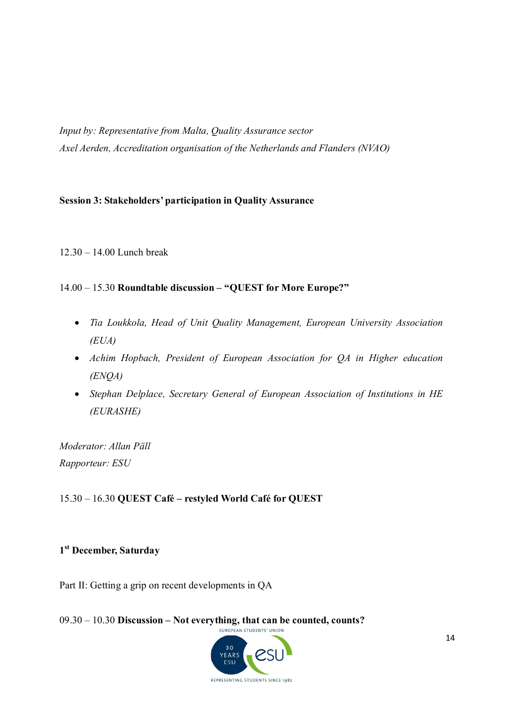*Input by: Representative from Malta, Quality Assurance sector Axel Aerden, Accreditation organisation of the Netherlands and Flanders (NVAO)*

#### **Session 3: Stakeholders' participation in Quality Assurance**

12.30 – 14.00 Lunch break

#### 14.00 – 15.30 **Roundtable discussion – "QUEST for More Europe?"**

- *Tia Loukkola, Head of Unit Quality Management, European University Association (EUA)*
- *Achim Hopbach, President of European Association for QA in Higher education (ENQA)*
- *Stephan Delplace, Secretary General of European Association of Institutions in HE (EURASHE)*

*Moderator: Allan Päll Rapporteur: ESU*

15.30 – 16.30 **QUEST Café – restyled World Café for QUEST**

#### **1 st December, Saturday**

Part II: Getting a grip on recent developments in QA

09.30 – 10.30 **Discussion – Not everything, that can be counted, counts?**

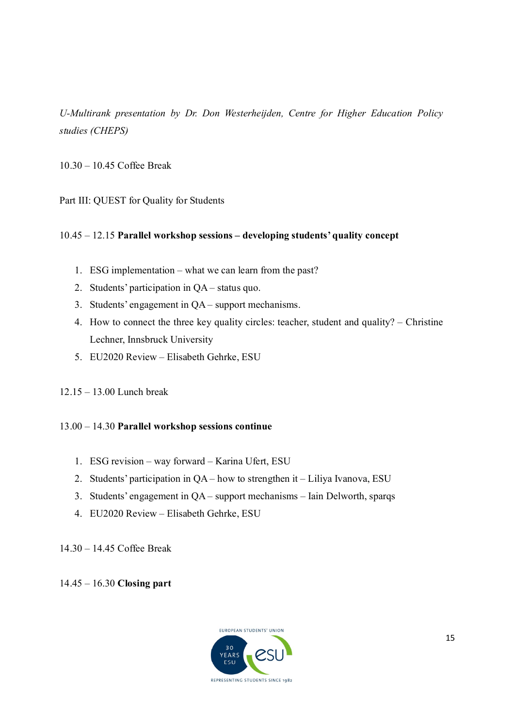*U-Multirank presentation by Dr. Don Westerheijden, Centre for Higher Education Policy studies (CHEPS)*

10.30 – 10.45 Coffee Break

Part III: QUEST for Quality for Students

#### 10.45 – 12.15 **Parallel workshop sessions – developing students' quality concept**

- 1. ESG implementation what we can learn from the past?
- 2. Students' participation in QA status quo.
- 3. Students' engagement in QA support mechanisms.
- 4. How to connect the three key quality circles: teacher, student and quality? Christine Lechner, Innsbruck University
- 5. EU2020 Review Elisabeth Gehrke, ESU
- 12.15 13.00 Lunch break

#### 13.00 – 14.30 **Parallel workshop sessions continue**

- 1. ESG revision way forward Karina Ufert, ESU
- 2. Students' participation in QA how to strengthen it Liliya Ivanova, ESU
- 3. Students' engagement in QA support mechanisms Iain Delworth, sparqs
- 4. EU2020 Review Elisabeth Gehrke, ESU

14.30 – 14.45 Coffee Break

14.45 – 16.30 **Closing part**